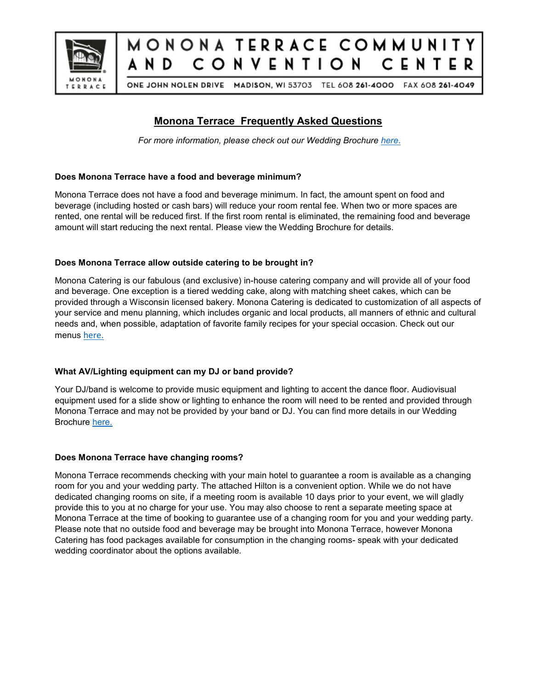

#### MONONA TERRACE COMMUNITY CONVENTION CENTER A N D

ONE JOHN NOLEN DRIVE MADISON, WI 53703 TEL 608 261-4000 FAX 608 261-4049

# **Monona Terrace Frequently Asked Questions**

*For more information, please check out our Wedding Brochure [here](https://dew9kygjpe38p.cloudfront.net/wp-content/uploads/2021/07/WeddingPamphlet2021-2022web.pdf)*.

## **Does Monona Terrace have a food and beverage minimum?**

Monona Terrace does not have a food and beverage minimum. In fact, the amount spent on food and beverage (including hosted or cash bars) will reduce your room rental fee. When two or more spaces are rented, one rental will be reduced first. If the first room rental is eliminated, the remaining food and beverage amount will start reducing the next rental. Please view the Wedding Brochure for details.

## **Does Monona Terrace allow outside catering to be brought in?**

Monona Catering is our fabulous (and exclusive) in-house catering company and will provide all of your food and beverage. One exception is a tiered wedding cake, along with matching sheet cakes, which can be provided through a Wisconsin licensed bakery. Monona Catering is dedicated to customization of all aspects of your service and menu planning, which includes organic and local products, all manners of ethnic and cultural needs and, when possible, adaptation of favorite family recipes for your special occasion. Check out our menus [here.](https://dew9kygjpe38p.cloudfront.net/wp-content/uploads/2021/11/E-Wedding-Menu-2022.pdf)

# **What AV/Lighting equipment can my DJ or band provide?**

Your DJ/band is welcome to provide music equipment and lighting to accent the dance floor. Audiovisual equipment used for a slide show or lighting to enhance the room will need to be rented and provided through Monona Terrace and may not be provided by your band or DJ. You can find more details in our Wedding Brochure [here.](https://dew9kygjpe38p.cloudfront.net/wp-content/uploads/2021/07/WeddingPamphlet2021-2022web.pdf)

## **Does Monona Terrace have changing rooms?**

Monona Terrace recommends checking with your main hotel to guarantee a room is available as a changing room for you and your wedding party. The attached Hilton is a convenient option. While we do not have dedicated changing rooms on site, if a meeting room is available 10 days prior to your event, we will gladly provide this to you at no charge for your use. You may also choose to rent a separate meeting space at Monona Terrace at the time of booking to guarantee use of a changing room for you and your wedding party. Please note that no outside food and beverage may be brought into Monona Terrace, however Monona Catering has food packages available for consumption in the changing rooms- speak with your dedicated wedding coordinator about the options available.